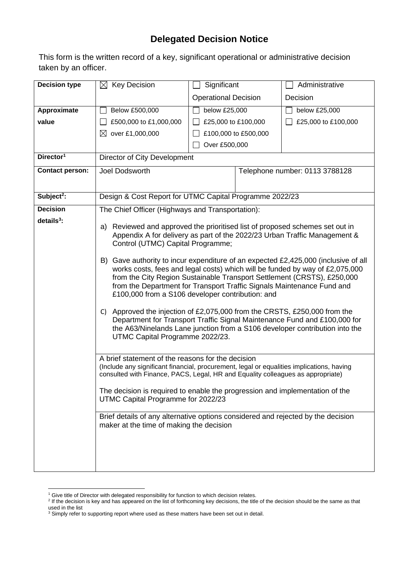## **Delegated Decision Notice**

This form is the written record of a key, significant operational or administrative decision taken by an officer.

| <b>Decision type</b>   | $\boxtimes$ Key Decision                                                                                                                                                                                                                                                                                                                                                                                                                                                                                                                                                                                                                                                                                                                                                                                                                                                                                                                                                                                                                                                                                                                                                                                                                                                                                    | Significant                 |                                | Administrative      |  |  |
|------------------------|-------------------------------------------------------------------------------------------------------------------------------------------------------------------------------------------------------------------------------------------------------------------------------------------------------------------------------------------------------------------------------------------------------------------------------------------------------------------------------------------------------------------------------------------------------------------------------------------------------------------------------------------------------------------------------------------------------------------------------------------------------------------------------------------------------------------------------------------------------------------------------------------------------------------------------------------------------------------------------------------------------------------------------------------------------------------------------------------------------------------------------------------------------------------------------------------------------------------------------------------------------------------------------------------------------------|-----------------------------|--------------------------------|---------------------|--|--|
|                        |                                                                                                                                                                                                                                                                                                                                                                                                                                                                                                                                                                                                                                                                                                                                                                                                                                                                                                                                                                                                                                                                                                                                                                                                                                                                                                             | <b>Operational Decision</b> |                                | Decision            |  |  |
| Approximate            | Below £500,000                                                                                                                                                                                                                                                                                                                                                                                                                                                                                                                                                                                                                                                                                                                                                                                                                                                                                                                                                                                                                                                                                                                                                                                                                                                                                              | below £25,000               |                                | below £25,000       |  |  |
| value                  | £500,000 to £1,000,000                                                                                                                                                                                                                                                                                                                                                                                                                                                                                                                                                                                                                                                                                                                                                                                                                                                                                                                                                                                                                                                                                                                                                                                                                                                                                      | £25,000 to £100,000         |                                | £25,000 to £100,000 |  |  |
|                        | ⊠<br>over £1,000,000                                                                                                                                                                                                                                                                                                                                                                                                                                                                                                                                                                                                                                                                                                                                                                                                                                                                                                                                                                                                                                                                                                                                                                                                                                                                                        |                             | £100,000 to £500,000           |                     |  |  |
|                        |                                                                                                                                                                                                                                                                                                                                                                                                                                                                                                                                                                                                                                                                                                                                                                                                                                                                                                                                                                                                                                                                                                                                                                                                                                                                                                             | Over £500,000               |                                |                     |  |  |
| Director <sup>1</sup>  | Director of City Development                                                                                                                                                                                                                                                                                                                                                                                                                                                                                                                                                                                                                                                                                                                                                                                                                                                                                                                                                                                                                                                                                                                                                                                                                                                                                |                             |                                |                     |  |  |
| <b>Contact person:</b> | Joel Dodsworth                                                                                                                                                                                                                                                                                                                                                                                                                                                                                                                                                                                                                                                                                                                                                                                                                                                                                                                                                                                                                                                                                                                                                                                                                                                                                              |                             | Telephone number: 0113 3788128 |                     |  |  |
|                        |                                                                                                                                                                                                                                                                                                                                                                                                                                                                                                                                                                                                                                                                                                                                                                                                                                                                                                                                                                                                                                                                                                                                                                                                                                                                                                             |                             |                                |                     |  |  |
| Subject <sup>2</sup> : | Design & Cost Report for UTMC Capital Programme 2022/23                                                                                                                                                                                                                                                                                                                                                                                                                                                                                                                                                                                                                                                                                                                                                                                                                                                                                                                                                                                                                                                                                                                                                                                                                                                     |                             |                                |                     |  |  |
| <b>Decision</b>        | The Chief Officer (Highways and Transportation):                                                                                                                                                                                                                                                                                                                                                                                                                                                                                                                                                                                                                                                                                                                                                                                                                                                                                                                                                                                                                                                                                                                                                                                                                                                            |                             |                                |                     |  |  |
| $details3$ :           | Reviewed and approved the prioritised list of proposed schemes set out in<br>a)<br>Appendix A for delivery as part of the 2022/23 Urban Traffic Management &<br>Control (UTMC) Capital Programme;<br>B) Gave authority to incur expenditure of an expected £2,425,000 (inclusive of all<br>works costs, fees and legal costs) which will be funded by way of £2,075,000<br>from the City Region Sustainable Transport Settlement (CRSTS), £250,000<br>from the Department for Transport Traffic Signals Maintenance Fund and<br>£100,000 from a S106 developer contribution: and<br>C) Approved the injection of £2,075,000 from the CRSTS, £250,000 from the<br>Department for Transport Traffic Signal Maintenance Fund and £100,000 for<br>the A63/Ninelands Lane junction from a S106 developer contribution into the<br>UTMC Capital Programme 2022/23.<br>A brief statement of the reasons for the decision<br>(Include any significant financial, procurement, legal or equalities implications, having<br>consulted with Finance, PACS, Legal, HR and Equality colleagues as appropriate)<br>The decision is required to enable the progression and implementation of the<br>UTMC Capital Programme for 2022/23<br>Brief details of any alternative options considered and rejected by the decision |                             |                                |                     |  |  |
|                        | maker at the time of making the decision                                                                                                                                                                                                                                                                                                                                                                                                                                                                                                                                                                                                                                                                                                                                                                                                                                                                                                                                                                                                                                                                                                                                                                                                                                                                    |                             |                                |                     |  |  |

<sup>&</sup>lt;sup>1</sup> Give title of Director with delegated responsibility for function to which decision relates.<br><sup>2</sup> If the decision is key and has appeared on the list of forthcoming key decisions, the title of the decision should be the used in the list

 $3$  Simply refer to supporting report where used as these matters have been set out in detail.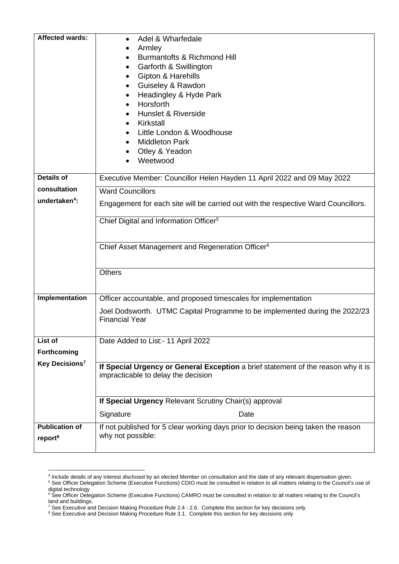| <b>Affected wards:</b>                       | Adel & Wharfedale<br>Armley<br>Burmantofts & Richmond Hill<br>Garforth & Swillington<br>Gipton & Harehills<br>٠<br>Guiseley & Rawdon<br>$\bullet$<br>Headingley & Hyde Park<br>Horsforth<br>Hunslet & Riverside<br>Kirkstall<br>Little London & Woodhouse<br><b>Middleton Park</b><br>Otley & Yeadon<br>Weetwood |  |  |  |  |  |
|----------------------------------------------|------------------------------------------------------------------------------------------------------------------------------------------------------------------------------------------------------------------------------------------------------------------------------------------------------------------|--|--|--|--|--|
|                                              |                                                                                                                                                                                                                                                                                                                  |  |  |  |  |  |
| <b>Details of</b>                            | Executive Member: Councillor Helen Hayden 11 April 2022 and 09 May 2022                                                                                                                                                                                                                                          |  |  |  |  |  |
| consultation<br>undertaken <sup>4</sup> :    | <b>Ward Councillors</b>                                                                                                                                                                                                                                                                                          |  |  |  |  |  |
|                                              | Engagement for each site will be carried out with the respective Ward Councillors.                                                                                                                                                                                                                               |  |  |  |  |  |
|                                              | Chief Digital and Information Officer <sup>5</sup>                                                                                                                                                                                                                                                               |  |  |  |  |  |
|                                              | Chief Asset Management and Regeneration Officer <sup>6</sup>                                                                                                                                                                                                                                                     |  |  |  |  |  |
|                                              | <b>Others</b>                                                                                                                                                                                                                                                                                                    |  |  |  |  |  |
| Implementation                               | Officer accountable, and proposed timescales for implementation                                                                                                                                                                                                                                                  |  |  |  |  |  |
|                                              | Joel Dodsworth. UTMC Capital Programme to be implemented during the 2022/23<br><b>Financial Year</b>                                                                                                                                                                                                             |  |  |  |  |  |
| List of                                      | Date Added to List:- 11 April 2022                                                                                                                                                                                                                                                                               |  |  |  |  |  |
| Forthcoming                                  |                                                                                                                                                                                                                                                                                                                  |  |  |  |  |  |
| Key Decisions <sup>7</sup>                   | If Special Urgency or General Exception a brief statement of the reason why it is<br>impracticable to delay the decision                                                                                                                                                                                         |  |  |  |  |  |
|                                              | If Special Urgency Relevant Scrutiny Chair(s) approval                                                                                                                                                                                                                                                           |  |  |  |  |  |
|                                              | Signature<br>Date                                                                                                                                                                                                                                                                                                |  |  |  |  |  |
| <b>Publication of</b><br>report <sup>8</sup> | If not published for 5 clear working days prior to decision being taken the reason<br>why not possible:                                                                                                                                                                                                          |  |  |  |  |  |

<sup>4</sup> Include details of any interest disclosed by an elected Member on consultation and the date of any relevant dispensation given.

<sup>&</sup>lt;sup>5</sup> See Officer Delegation Scheme (Executive Functions) CDIO must be consulted in relation to all matters relating to the Council's use of digital technology

<sup>&</sup>lt;sup>6</sup> See Officer Delegation Scheme (Executive Functions) CAMRO must be consulted in relation to all matters relating to the Council's land and buildings.

 $^7$  See Executive and Decision Making Procedure Rule 2.4 - 2.6. Complete this section for key decisions only

<sup>&</sup>lt;sup>8</sup> See Executive and Decision Making Procedure Rule 3.1. Complete this section for key decisions only